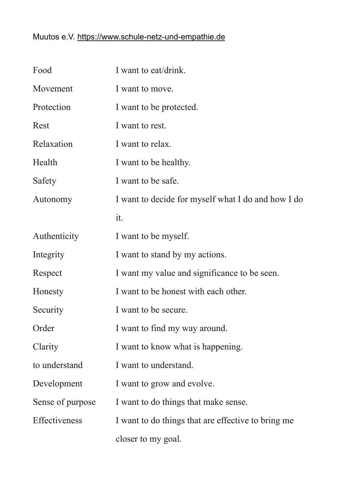## Muutos e.V.<https://www.schule-netz-und-empathie.de>

| Food             | I want to eat/drink.                               |
|------------------|----------------------------------------------------|
| Movement         | I want to move.                                    |
| Protection       | I want to be protected.                            |
| Rest             | I want to rest.                                    |
| Relaxation       | I want to relax.                                   |
| Health           | I want to be healthy.                              |
| Safety           | I want to be safe.                                 |
| Autonomy         | I want to decide for myself what I do and how I do |
|                  | it.                                                |
| Authenticity     | I want to be myself.                               |
| Integrity        | I want to stand by my actions.                     |
| Respect          | I want my value and significance to be seen.       |
| Honesty          | I want to be honest with each other.               |
| Security         | I want to be secure.                               |
| Order            | I want to find my way around.                      |
| Clarity          | I want to know what is happening.                  |
| to understand    | I want to understand.                              |
| Development      | I want to grow and evolve.                         |
| Sense of purpose | I want to do things that make sense.               |
| Effectiveness    | I want to do things that are effective to bring me |
|                  | closer to my goal.                                 |